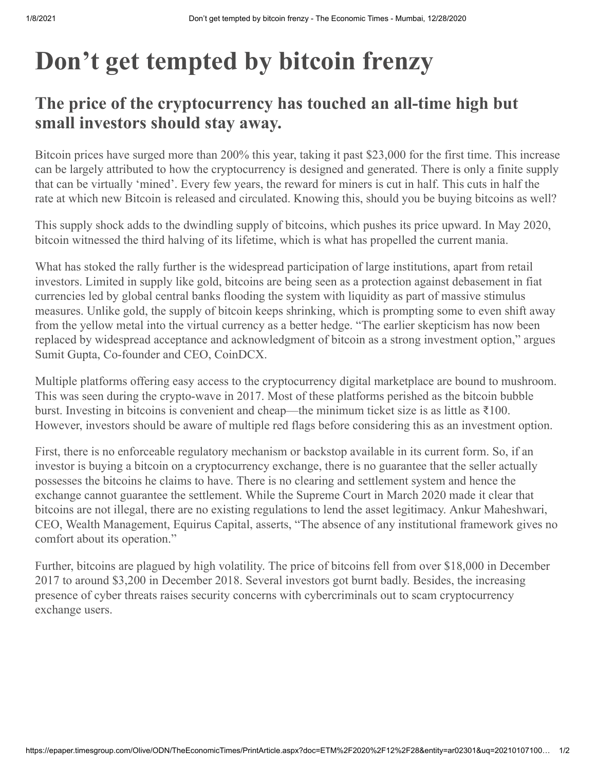## **Don't get tempted by bitcoin frenzy**

## **The price of the cryptocurrency has touched an all-time high but small investors should stay away.**

Bitcoin prices have surged more than 200% this year, taking it past \$23,000 for the first time. This increase can be largely attributed to how the cryptocurrency is designed and generated. There is only a finite supply that can be virtually 'mined'. Every few years, the reward for miners is cut in half. This cuts in half the rate at which new Bitcoin is released and circulated. Knowing this, should you be buying bitcoins as well?

This supply shock adds to the dwindling supply of bitcoins, which pushes its price upward. In May 2020, bitcoin witnessed the third halving of its lifetime, which is what has propelled the current mania.

What has stoked the rally further is the widespread participation of large institutions, apart from retail investors. Limited in supply like gold, bitcoins are being seen as a protection against debasement in fiat currencies led by global central banks flooding the system with liquidity as part of massive stimulus measures. Unlike gold, the supply of bitcoin keeps shrinking, which is prompting some to even shift away from the yellow metal into the virtual currency as a better hedge. "The earlier skepticism has now been replaced by widespread acceptance and acknowledgment of bitcoin as a strong investment option," argues Sumit Gupta, Co-founder and CEO, CoinDCX.

Multiple platforms offering easy access to the cryptocurrency digital marketplace are bound to mushroom. This was seen during the crypto-wave in 2017. Most of these platforms perished as the bitcoin bubble burst. Investing in bitcoins is convenient and cheap—the minimum ticket size is as little as ₹100. However, investors should be aware of multiple red flags before considering this as an investment option.

First, there is no enforceable regulatory mechanism or backstop available in its current form. So, if an investor is buying a bitcoin on a cryptocurrency exchange, there is no guarantee that the seller actually possesses the bitcoins he claims to have. There is no clearing and settlement system and hence the exchange cannot guarantee the settlement. While the Supreme Court in March 2020 made it clear that bitcoins are not illegal, there are no existing regulations to lend the asset legitimacy. Ankur Maheshwari, CEO, Wealth Management, Equirus Capital, asserts, "The absence of any institutional framework gives no comfort about its operation."

Further, bitcoins are plagued by high volatility. The price of bitcoins fell from over \$18,000 in December 2017 to around \$3,200 in December 2018. Several investors got burnt badly. Besides, the increasing presence of cyber threats raises security concerns with cybercriminals out to scam cryptocurrency exchange users.